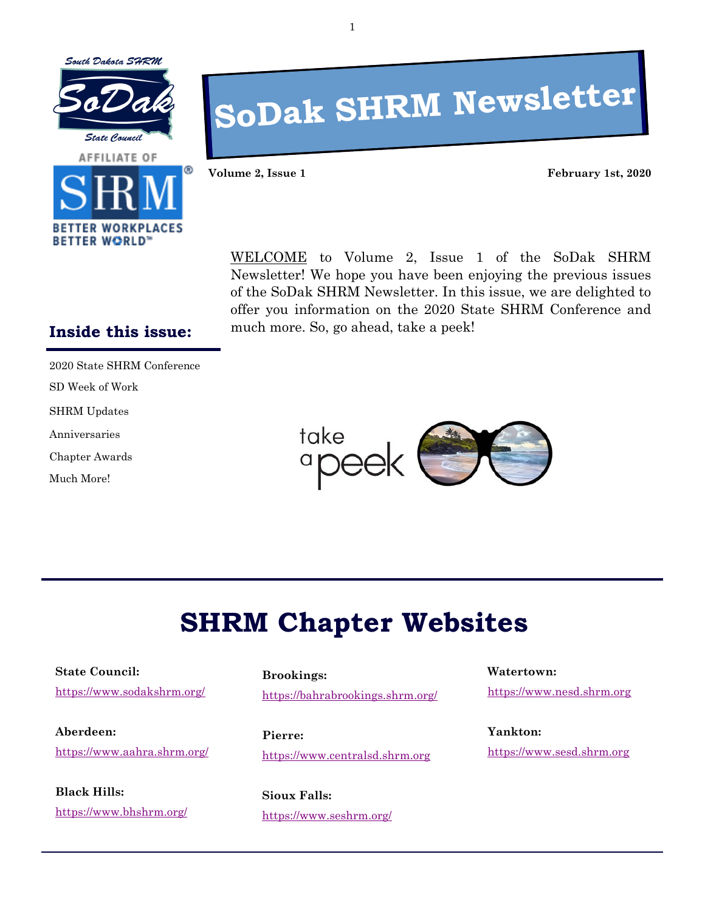





# **SoDak SHRM Newsletter**

**Volume 2, Issue 1 February 1st, 2020**

WELCOME to Volume 2, Issue 1 of the SoDak SHRM Newsletter! We hope you have been enjoying the previous issues of the SoDak SHRM Newsletter. In this issue, we are delighted to offer you information on the 2020 State SHRM Conference and much more. So, go ahead, take a peek!

#### **Inside this issue:**

2020 State SHRM Conference

SD Week of Work

SHRM Updates

Anniversaries

Chapter Awards

Much More!



# **SHRM Chapter Websites**

**State Council:** <https://www.sodakshrm.org/>

**Aberdeen:** [https://www.aahra.shrm.org/](https://aahra.shrm.org/)

**Black Hills:** [https://www.bhshrm.org/](https://bhshrm.org/)

**Brookings:** <https://bahrabrookings.shrm.org/>

**Pierre:** [https://www.centralsd.shrm.org](https://centralsd.shrm.org/)

**Sioux Falls:** [https://www.seshrm.org/](https://seshrm.org/) **Watertown:**

[https://www.nesd.shrm.org](https://nesd.shrm.org/)

**Yankton:** [https://www.sesd.shrm.org](https://sesd.shrm.org/)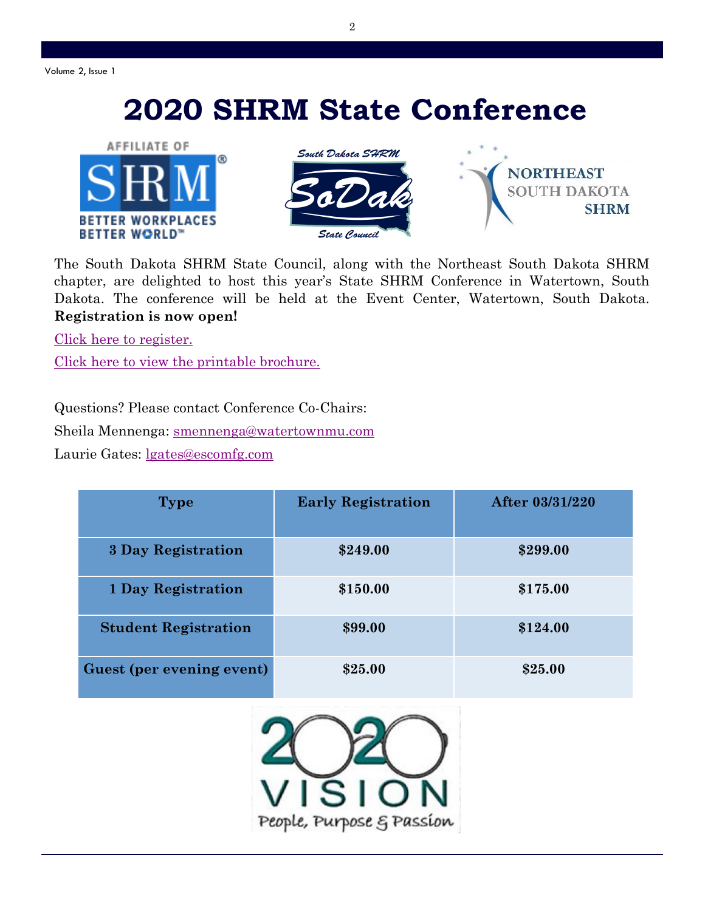Volume 2, Issue 1

# **2020 SHRM State Conference**





**NORTHEAST SOUTH DAKOTA SHRM** 

The South Dakota SHRM State Council, along with the Northeast South Dakota SHRM chapter, are delighted to host this year's State SHRM Conference in Watertown, South Dakota. The conference will be held at the Event Center, Watertown, South Dakota. **Registration is now open!** 

[Click here to register.](https://events.r20.constantcontact.com/register/eventReg?oeidk=a07egk9uxis06f03940&oseq=&c=&ch=)

[Click here to view the printable brochure.](https://9dde92f9-5992-4426-b0ce-3a26c08273de.filesusr.com/ugd/679518_dc64bd5890f9441da5f06c29ba54c28e.pdf)

Questions? Please contact Conference Co-Chairs: Sheila Mennenga: [smennenga@watertownmu.com](mailto:smennenga@watertownmu.com) Laurie Gates: [lgates@escomfg.com](mailto:lgates@escomfg.com)

| <b>Type</b>                 | <b>Early Registration</b> | After 03/31/220 |
|-----------------------------|---------------------------|-----------------|
| <b>3 Day Registration</b>   | \$249.00                  | \$299.00        |
| <b>1 Day Registration</b>   | \$150.00                  | \$175.00        |
| <b>Student Registration</b> | \$99.00                   | \$124.00        |
| Guest (per evening event)   | \$25.00                   | \$25.00         |

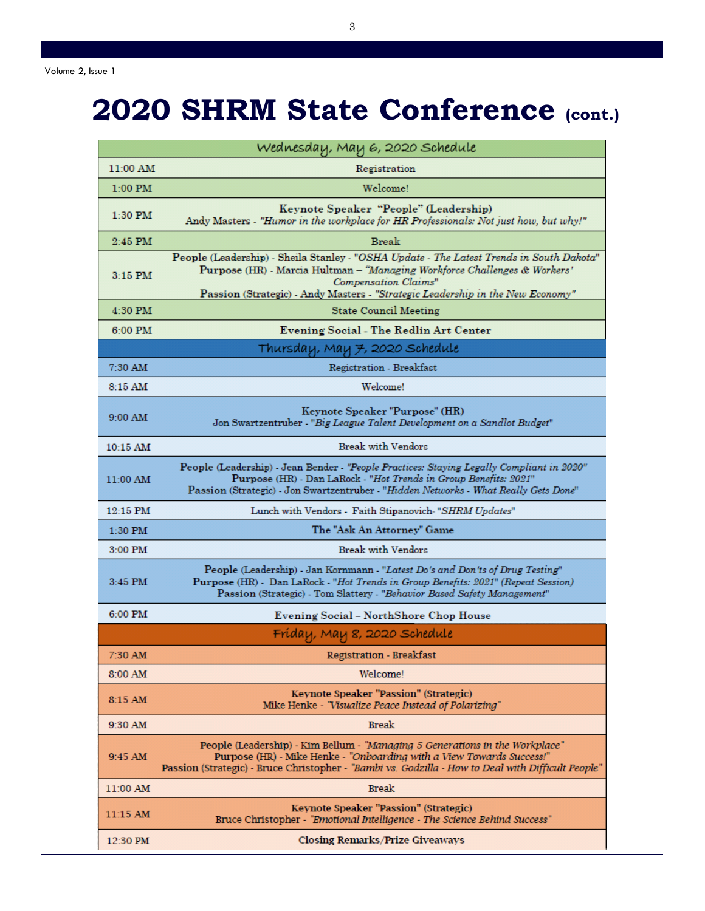# **2020 SHRM State Conference (cont.)**

| Wednesday, May 6, 2020 Schedule |                                                                                                                                                                                                                                                                                 |  |  |
|---------------------------------|---------------------------------------------------------------------------------------------------------------------------------------------------------------------------------------------------------------------------------------------------------------------------------|--|--|
| 11:00 AM                        | Registration                                                                                                                                                                                                                                                                    |  |  |
| $1:00$ PM                       | Welcome!                                                                                                                                                                                                                                                                        |  |  |
| $1:30$ PM                       | Keynote Speaker "People" (Leadership)<br>Andy Masters - "Humor in the workplace for HR Professionals: Not just how, but why!"                                                                                                                                                   |  |  |
| $2:45$ PM                       | <b>Break</b>                                                                                                                                                                                                                                                                    |  |  |
| $3:15$ PM                       | People (Leadership) - Sheila Stanley - "OSHA Update - The Latest Trends in South Dakota"<br>Purpose (HR) - Marcia Hultman - "Managing Workforce Challenges & Workers'<br>Compensation Claims"<br>Passion (Strategic) - Andy Masters - "Strategic Leadership in the New Economy" |  |  |
| 4:30 PM                         | <b>State Council Meeting</b>                                                                                                                                                                                                                                                    |  |  |
| 6:00 PM                         | Evening Social - The Redlin Art Center                                                                                                                                                                                                                                          |  |  |
| Thursday, May 7, 2020 Schedule  |                                                                                                                                                                                                                                                                                 |  |  |
| 7:30 AM                         | Registration - Breakfast                                                                                                                                                                                                                                                        |  |  |
| $8:15$ AM                       | Welcome!                                                                                                                                                                                                                                                                        |  |  |
| 9:00 AM                         | Keynote Speaker "Purpose" (HR)<br>Jon Swartzentruber - "Big League Talent Development on a Sandlot Budget"                                                                                                                                                                      |  |  |
| $10:15 \text{ AM}$              | <b>Break with Vendors</b>                                                                                                                                                                                                                                                       |  |  |
| 11:00 AM                        | People (Leadership) - Jean Bender - "People Practices: Staying Legally Compliant in 2020"<br>Purpose (HR) - Dan LaRock - "Hot Trends in Group Benefits: 2021"<br>Passion (Strategic) - Jon Swartzentruber - "Hidden Networks - What Really Gets Done"                           |  |  |
| 12:15 PM                        | Lunch with Vendors - Faith Stipanovich-"SHRM Updates"                                                                                                                                                                                                                           |  |  |
| 1:30 PM                         | The "Ask An Attorney" Game                                                                                                                                                                                                                                                      |  |  |
| 3:00 PM                         | <b>Break with Vendors</b>                                                                                                                                                                                                                                                       |  |  |
| 3:45 PM                         | People (Leadership) - Jan Kornmann - "Latest Do's and Don'ts of Drug Testing"<br>Purpose (HR) - Dan LaRock - "Hot Trends in Group Benefits: 2021" (Repeat Session)<br>Passion (Strategic) - Tom Slattery - "Behavior Based Safety Management"                                   |  |  |
| 6:00 PM                         | Evening Social - NorthShore Chop House                                                                                                                                                                                                                                          |  |  |
| Fríday, May 8, 2020 Schedule    |                                                                                                                                                                                                                                                                                 |  |  |
| 7:30 AM                         | <b>Registration - Breakfast</b>                                                                                                                                                                                                                                                 |  |  |
| 8:00 AM                         | Welcome!                                                                                                                                                                                                                                                                        |  |  |
| 8:15 AM                         | Keynote Speaker "Passion" (Strategic)<br>Mike Henke - "Visualize Peace Instead of Polarizing"                                                                                                                                                                                   |  |  |
| 9:30 AM                         | <b>Break</b>                                                                                                                                                                                                                                                                    |  |  |
| 9:45 AM                         | People (Leadership) - Kim Bellum - "Managing 5 Generations in the Workplace"<br>Purpose (HR) - Mike Henke - "Onboarding with a View Towards Success!"<br>Passion (Strategic) - Bruce Christopher - "Bambi vs. Godzilla - How to Deal with Difficult People"                     |  |  |
| 11:00 AM                        | <b>Break</b>                                                                                                                                                                                                                                                                    |  |  |
| 11:15 AM                        | Keynote Speaker "Passion" (Strategic)<br>Bruce Christopher - "Emotional Intelligence - The Science Behind Success"                                                                                                                                                              |  |  |
| 12:30 PM                        | <b>Closing Remarks/Prize Giveaways</b>                                                                                                                                                                                                                                          |  |  |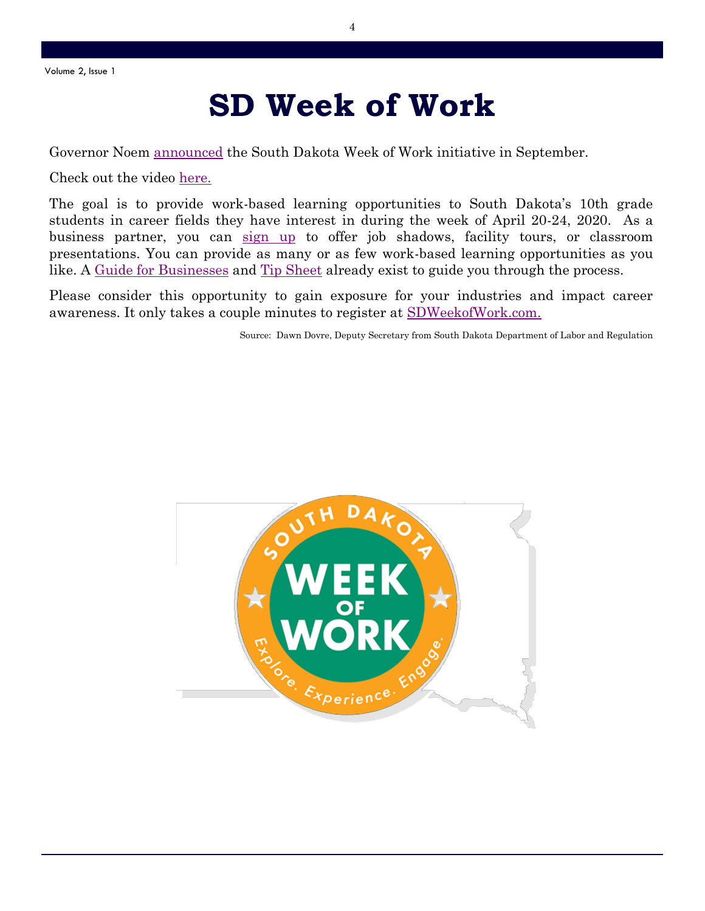# **SD Week of Work**

Governor Noem [announced](https://news.sd.gov/newsitem.aspx?id=25941) the South Dakota Week of Work initiative in September.

Check out the video [here.](https://www.facebook.com/govnoem/videos/2440997689270281/?v=2440997689270281)

The goal is to provide work-based learning opportunities to South Dakota's 10th grade students in career fields they have interest in during the week of April 20-24, 2020. As a business partner, you can [sign up](https://weekofwork.sd.gov/industry.aspx) to offer job shadows, facility tours, or classroom presentations. You can provide as many or as few work-based learning opportunities as you like. A [Guide for Businesses](https://weekofwork.sd.gov/documents/BusinessesGuide.pdf) and [Tip Sheet](https://weekofwork.sd.gov/documents/BusinessesTips.pdf) already exist to guide you through the process.

Please consider this opportunity to gain exposure for your industries and impact career awareness. It only takes a couple minutes to register at [SDWeekofWork.com.](https://weekofwork.sd.gov/documents/BusinessesGuide.pdf) 

Source: Dawn Dovre, Deputy Secretary from South Dakota Department of Labor and Regulation

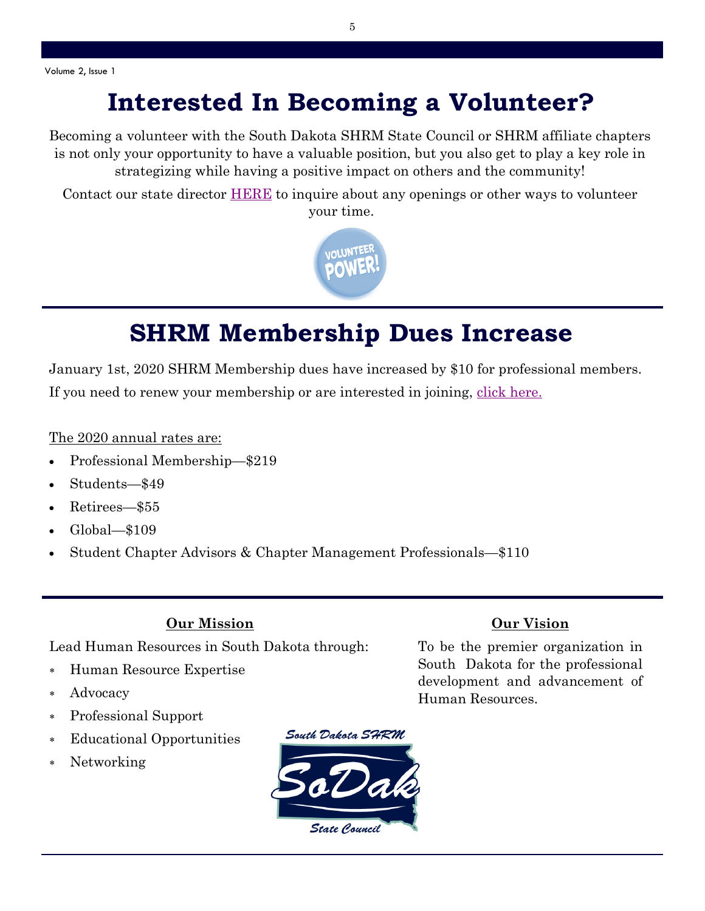### **Interested In Becoming a Volunteer?**

Becoming a volunteer with the South Dakota SHRM State Council or SHRM affiliate chapters is not only your opportunity to have a valuable position, but you also get to play a key role in strategizing while having a positive impact on others and the community!

Contact our state director [HERE](https://www.sodakshrm.org/contact) to inquire about any openings or other ways to volunteer your time.



## **SHRM Membership Dues Increase**

January 1st, 2020 SHRM Membership dues have increased by \$10 for professional members. If you need to renew your membership or are interested in joining, [click here.](https://store.shrm.org/?logoff=T)

#### The 2020 annual rates are:

- Professional Membership—\$219
- Students—\$49
- Retirees—\$55
- Global—\$109
- Student Chapter Advisors & Chapter Management Professionals—\$110

#### **Our Mission**

Lead Human Resources in South Dakota through:

- Human Resource Expertise
- Advocacy
- Professional Support
- Educational Opportunities
- Networking



#### **Our Vision**

To be the premier organization in South Dakota for the professional development and advancement of Human Resources.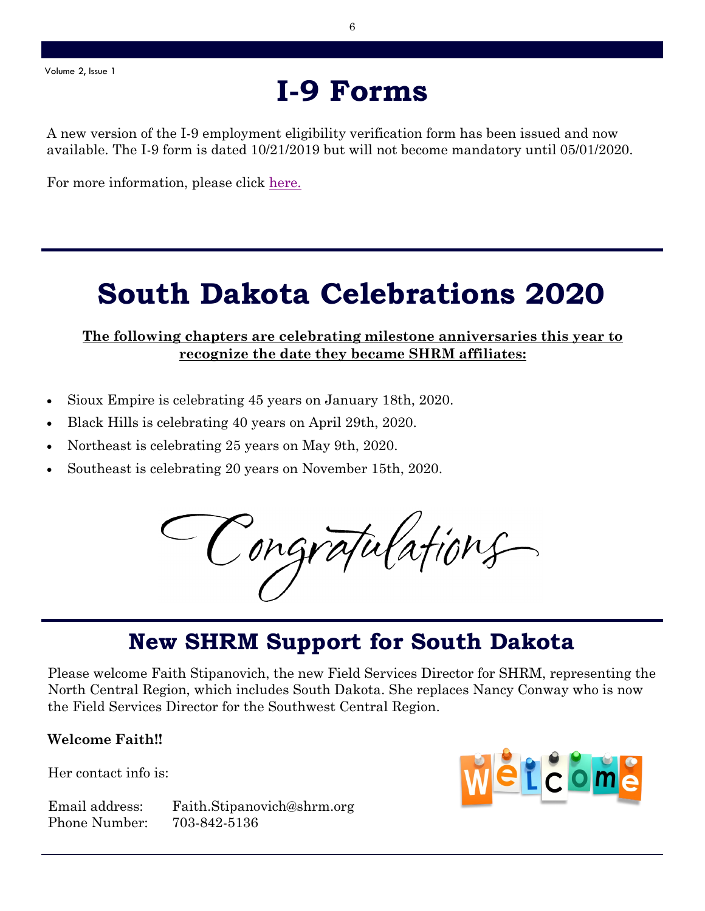## **I-9 Forms**

A new version of the I-9 employment eligibility verification form has been issued and now available. The I-9 form is dated 10/21/2019 but will not become mandatory until 05/01/2020.

For more information, please click here.

# **South Dakota Celebrations 2020**

#### **The following chapters are celebrating milestone anniversaries this year to recognize the date they became SHRM affiliates:**

- Sioux Empire is celebrating 45 years on January 18th, 2020.
- Black Hills is celebrating 40 years on April 29th, 2020.
- Northeast is celebrating 25 years on May 9th, 2020.
- Southeast is celebrating 20 years on November 15th, 2020.

Congratulations

### **New SHRM Support for South Dakota**

Please welcome Faith Stipanovich, the new Field Services Director for SHRM, representing the North Central Region, which includes South Dakota. She replaces Nancy Conway who is now the Field Services Director for the Southwest Central Region.

#### **Welcome Faith!!**

Her contact info is:

Email address: Faith.Stipanovich@shrm.org Phone Number: 703-842-5136

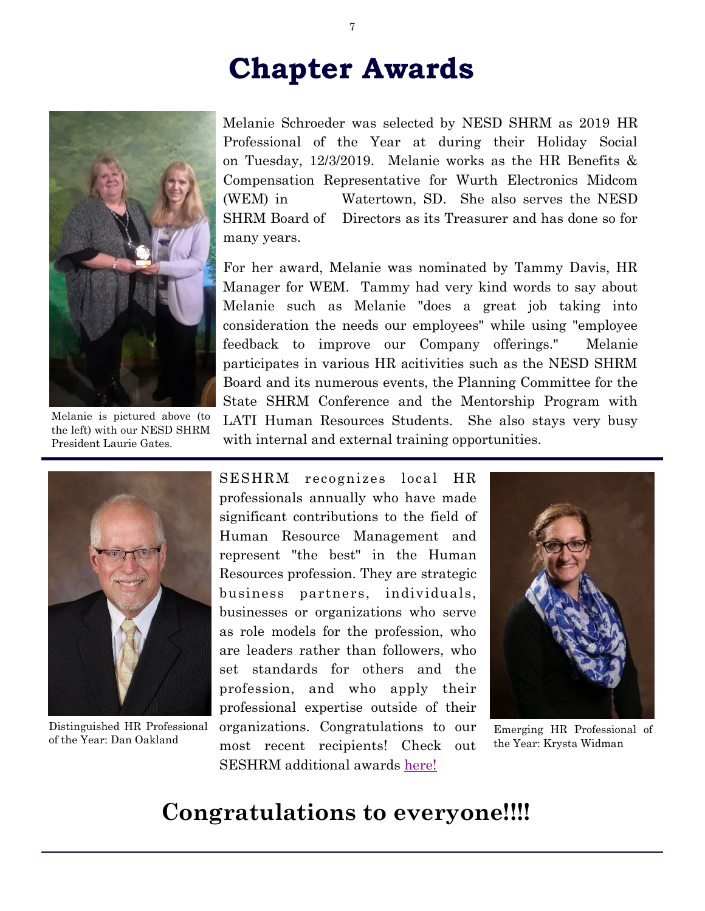# **Chapter Awards**



Melanie is pictured above (to the left) with our NESD SHRM President Laurie Gates.

Melanie Schroeder was selected by NESD SHRM as 2019 HR Professional of the Year at during their Holiday Social on Tuesday, 12/3/2019. Melanie works as the HR Benefits & Compensation Representative for Wurth Electronics Midcom (WEM) in Watertown, SD. She also serves the NESD SHRM Board of Directors as its Treasurer and has done so for many years.

For her award, Melanie was nominated by Tammy Davis, HR Manager for WEM. Tammy had very kind words to say about Melanie such as Melanie "does a great job taking into consideration the needs our employees" while using "employee feedback to improve our Company offerings." Melanie participates in various HR acitivities such as the NESD SHRM Board and its numerous events, the Planning Committee for the State SHRM Conference and the Mentorship Program with LATI Human Resources Students. She also stays very busy with internal and external training opportunities.



Distinguished HR Professional of the Year: Dan Oakland

SESHRM recognizes local HR professionals annually who have made significant contributions to the field of Human Resource Management and represent "the best" in the Human Resources profession. They are strategic business partners, individuals, businesses or organizations who serve as role models for the profession, who are leaders rather than followers, who set standards for others and the profession, and who apply their professional expertise outside of their organizations. Congratulations to our most recent recipients! Check out SESHRM additional awards [here!](https://seshrm.org/news)



Emerging HR Professional of the Year: Krysta Widman

### **Congratulations to everyone!!!!**